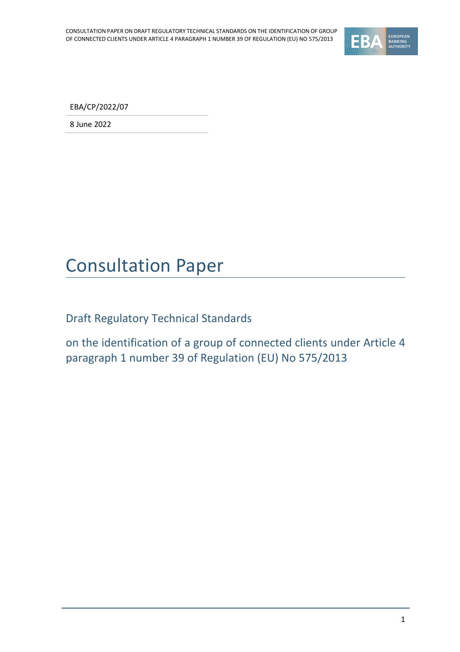

EBA/CP/2022/07

8 June 2022

## Consultation Paper

Draft Regulatory Technical Standards

on the identification of a group of connected clients under Article 4 paragraph 1 number 39 of Regulation (EU) No 575/2013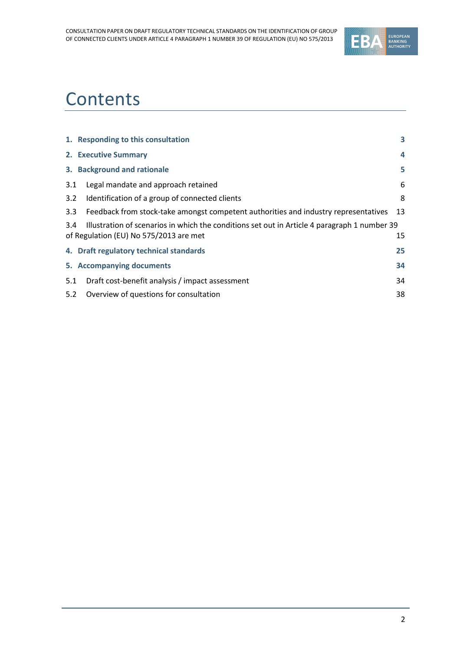

# **Contents**

|                  | 1. Responding to this consultation                                                                  | 3  |  |
|------------------|-----------------------------------------------------------------------------------------------------|----|--|
|                  | 2. Executive Summary                                                                                | 4  |  |
|                  | 3. Background and rationale                                                                         | 5  |  |
| 3.1              | Legal mandate and approach retained                                                                 | 6  |  |
| 3.2              | Identification of a group of connected clients                                                      | 8  |  |
| 3.3 <sub>2</sub> | Feedback from stock-take amongst competent authorities and industry representatives                 | 13 |  |
|                  | Illustration of scenarios in which the conditions set out in Article 4 paragraph 1 number 39<br>3.4 |    |  |
|                  | of Regulation (EU) No 575/2013 are met                                                              | 15 |  |
|                  | 4. Draft regulatory technical standards                                                             | 25 |  |
|                  | 5. Accompanying documents                                                                           | 34 |  |
| 5.1              | Draft cost-benefit analysis / impact assessment                                                     | 34 |  |
| 5.2              | Overview of questions for consultation                                                              | 38 |  |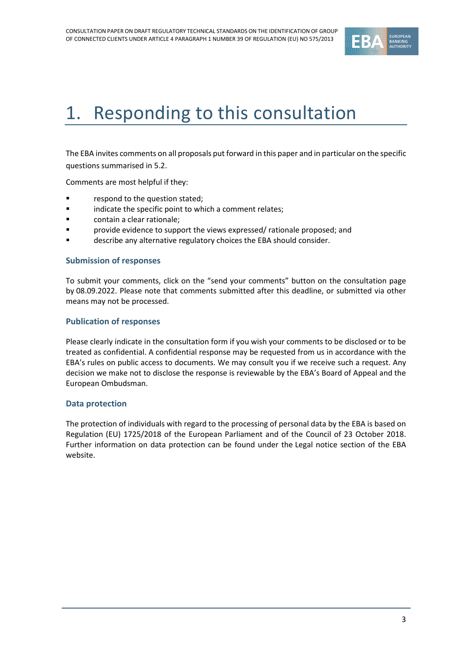

# <span id="page-2-0"></span>1. Responding to this consultation

The EBA invites comments on all proposals put forward in this paper and in particular on the specific questions summarised in 5.2.

Comments are most helpful if they:

- respond to the question stated;
- indicate the specific point to which a comment relates;
- contain a clear rationale;
- provide evidence to support the views expressed/ rationale proposed; and
- describe any alternative regulatory choices the EBA should consider.

#### **Submission of responses**

To submit your comments, click on the "send your comments" button on the consultation page by 08.09.2022. Please note that comments submitted after this deadline, or submitted via other means may not be processed.

#### **Publication of responses**

Please clearly indicate in the consultation form if you wish your comments to be disclosed or to be treated as confidential. A confidential response may be requested from us in accordance with the EBA's rules on public access to documents. We may consult you if we receive such a request. Any decision we make not to disclose the response is reviewable by the EBA's Board of Appeal and the European Ombudsman.

#### **Data protection**

The protection of individuals with regard to the processing of personal data by the EBA is based on Regulation (EU) 1725/2018 of the European Parliament and of the Council of 23 October 2018. Further information on data protection can be found under the [Legal notice section](http://eba.europa.eu/legal-notice) of the EBA website.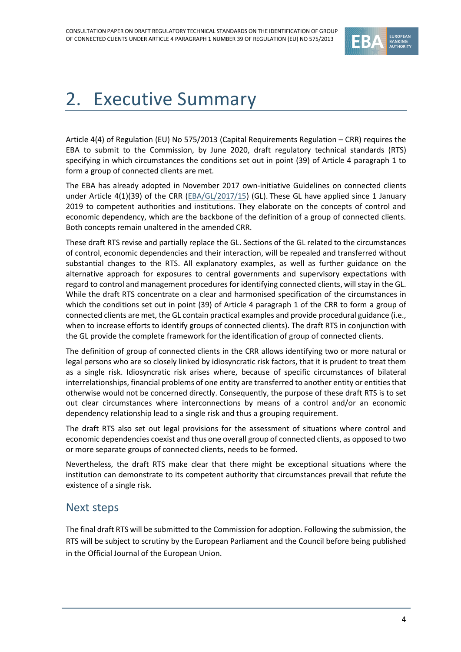

# <span id="page-3-0"></span>2. Executive Summary

Article 4(4) of Regulation (EU) No 575/2013 (Capital Requirements Regulation – CRR) requires the EBA to submit to the Commission, by June 2020, draft regulatory technical standards (RTS) specifying in which circumstances the conditions set out in point (39) of Article 4 paragraph 1 to form a group of connected clients are met.

The EBA has already adopted in November 2017 own-initiative Guidelines on connected clients under Article 4(1)(39) of the CRR [\(EBA/GL/2017/15\)](https://www.eba.europa.eu/sites/default/documents/files/documents/10180/2025808/a77be1e9-7564-47d2-a9d1-b7da98220352/Final%20Guidelines%20on%20connected%20clients%20%28EBA-GL-2017-15%29.pdf?retry=1) (GL). These GL have applied since 1 January 2019 to competent authorities and institutions. They elaborate on the concepts of control and economic dependency, which are the backbone of the definition of a group of connected clients. Both concepts remain unaltered in the amended CRR.

These draft RTS revise and partially replace the GL. Sections of the GL related to the circumstances of control, economic dependencies and their interaction, will be repealed and transferred without substantial changes to the RTS. All explanatory examples, as well as further guidance on the alternative approach for exposures to central governments and supervisory expectations with regard to control and management procedures for identifying connected clients, will stay in the GL. While the draft RTS concentrate on a clear and harmonised specification of the circumstances in which the conditions set out in point (39) of Article 4 paragraph 1 of the CRR to form a group of connected clients are met, the GL contain practical examples and provide procedural guidance (i.e., when to increase efforts to identify groups of connected clients). The draft RTS in conjunction with the GL provide the complete framework for the identification of group of connected clients.

The definition of group of connected clients in the CRR allows identifying two or more natural or legal persons who are so closely linked by idiosyncratic risk factors, that it is prudent to treat them as a single risk. Idiosyncratic risk arises where, because of specific circumstances of bilateral interrelationships, financial problems of one entity are transferred to another entity or entities that otherwise would not be concerned directly. Consequently, the purpose of these draft RTS is to set out clear circumstances where interconnections by means of a control and/or an economic dependency relationship lead to a single risk and thus a grouping requirement.

The draft RTS also set out legal provisions for the assessment of situations where control and economic dependencies coexist and thus one overall group of connected clients, as opposed to two or more separate groups of connected clients, needs to be formed.

Nevertheless, the draft RTS make clear that there might be exceptional situations where the institution can demonstrate to its competent authority that circumstances prevail that refute the existence of a single risk.

#### Next steps

The final draft RTS will be submitted to the Commission for adoption. Following the submission, the RTS will be subject to scrutiny by the European Parliament and the Council before being published in the Official Journal of the European Union.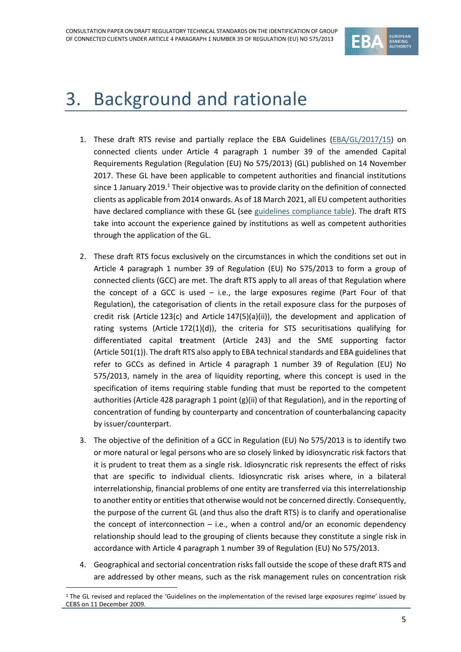

## <span id="page-4-0"></span>3. Background and rationale

- 1. These draft RTS revise and partially replace the EBA Guidelines [\(EBA/GL/2017/15\)](https://www.eba.europa.eu/sites/default/documents/files/documents/10180/2025808/a77be1e9-7564-47d2-a9d1-b7da98220352/Final%20Guidelines%20on%20connected%20clients%20%28EBA-GL-2017-15%29.pdf?retry=1) on connected clients under Article 4 paragraph 1 number 39 of the amended Capital Requirements Regulation (Regulation (EU) No 575/2013) (GL) published on 14 November 2017. These GL have been applicable to competent authorities and financial institutions since 1 January 2019.<sup>1</sup> Their objective was to provide clarity on the definition of connected clients as applicable from 2014 onwards. As of 18 March 2021, all EU competent authorities have declared compliance with these GL (see guidelines [compliance](https://www.eba.europa.eu/sites/default/documents/files/documents/10180/2025808/e969a851-0303-48ba-97f3-294b35ff0a2d/EBA%20GL%202017%2015-CT%20GLs%20on%20connected%20clients.pdf?retry=1) table). The draft RTS take into account the experience gained by institutions as well as competent authorities through the application of the GL.
- 2. These draft RTS focus exclusively on the circumstances in which the conditions set out in Article 4 paragraph 1 number 39 of Regulation (EU) No 575/2013 to form a group of connected clients (GCC) are met. The draft RTS apply to all areas of that Regulation where the concept of a GCC is used  $-$  i.e., the large exposures regime (Part Four of that Regulation), the categorisation of clients in the retail exposure class for the purposes of credit risk (Article 123(c) and Article  $147(5)(a)(ii)$ , the development and application of rating systems (Article 172(1)(d)), the criteria for STS securitisations qualifying for differentiated capital **t**reatment (Article 243) and the SME supporting factor (Article 501(1)). The draft RTS also apply to EBA technical standards and EBA guidelines that refer to GCCs as defined in Article 4 paragraph 1 number 39 of Regulation (EU) No 575/2013, namely in the area of liquidity reporting, where this concept is used in the specification of items requiring stable funding that must be reported to the competent authorities (Article 428 paragraph 1 point (g)(ii) of that Regulation), and in the reporting of concentration of funding by counterparty and concentration of counterbalancing capacity by issuer/counterpart.
- 3. The objective of the definition of a GCC in Regulation (EU) No 575/2013 is to identify two or more natural or legal persons who are so closely linked by idiosyncratic risk factors that it is prudent to treat them as a single risk. Idiosyncratic risk represents the effect of risks that are specific to individual clients. Idiosyncratic risk arises where, in a bilateral interrelationship, financial problems of one entity are transferred via this interrelationship to another entity or entities that otherwise would not be concerned directly. Consequently, the purpose of the current GL (and thus also the draft RTS) is to clarify and operationalise the concept of interconnection  $-$  i.e., when a control and/or an economic dependency relationship should lead to the grouping of clients because they constitute a single risk in accordance with Article 4 paragraph 1 number 39 of Regulation (EU) No 575/2013.
- 4. Geographical and sectorial concentration risks fall outside the scope of these draft RTS and are addressed by other means, such as the risk management rules on concentration risk

<sup>&</sup>lt;sup>1</sup> The GL revised and replaced the 'Guidelines on the implementation of the revised large exposures regime' issued by CEBS on 11 December 2009.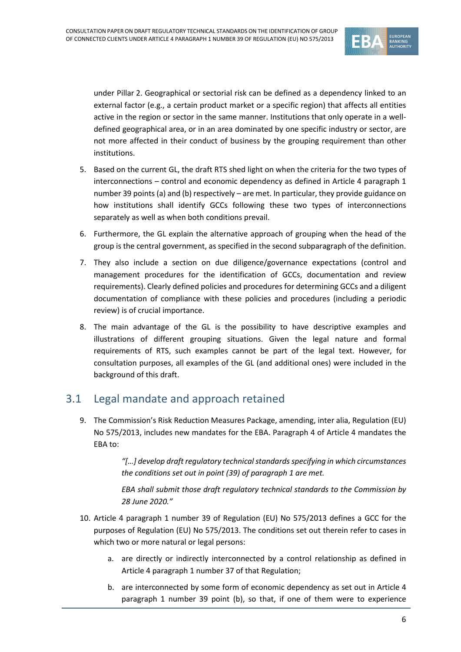

under Pillar 2. Geographical or sectorial risk can be defined as a dependency linked to an external factor (e.g., a certain product market or a specific region) that affects all entities active in the region or sector in the same manner. Institutions that only operate in a welldefined geographical area, or in an area dominated by one specific industry or sector, are not more affected in their conduct of business by the grouping requirement than other institutions.

- 5. Based on the current GL, the draft RTS shed light on when the criteria for the two types of interconnections – control and economic dependency as defined in Article 4 paragraph 1 number 39 points (a) and (b) respectively – are met. In particular, they provide guidance on how institutions shall identify GCCs following these two types of interconnections separately as well as when both conditions prevail.
- 6. Furthermore, the GL explain the alternative approach of grouping when the head of the group is the central government, as specified in the second subparagraph of the definition.
- 7. They also include a section on due diligence/governance expectations (control and management procedures for the identification of GCCs, documentation and review requirements). Clearly defined policies and procedures for determining GCCs and a diligent documentation of compliance with these policies and procedures (including a periodic review) is of crucial importance.
- 8. The main advantage of the GL is the possibility to have descriptive examples and illustrations of different grouping situations. Given the legal nature and formal requirements of RTS, such examples cannot be part of the legal text. However, for consultation purposes, all examples of the GL (and additional ones) were included in the background of this draft.

### <span id="page-5-0"></span>3.1 Legal mandate and approach retained

9. The Commission's Risk Reduction Measures Package, amending, inter alia, Regulation (EU) No 575/2013, includes new mandates for the EBA. Paragraph 4 of Article 4 mandates the EBA to:

> "[...] develop draft *regulatory technical* standards specifying in which circumstances *the conditions set out in point (39) of paragraph 1 are met.*

> *EBA shall submit those draft regulatory technical standards to the Commission by 28 June 2020."*

- 10. Article 4 paragraph 1 number 39 of Regulation (EU) No 575/2013 defines a GCC for the purposes of Regulation (EU) No 575/2013. The conditions set out therein refer to cases in which two or more natural or legal persons:
	- a. are directly or indirectly interconnected by a control relationship as defined in Article 4 paragraph 1 number 37 of that Regulation;
	- b. are interconnected by some form of economic dependency as set out in Article 4 paragraph 1 number 39 point (b), so that, if one of them were to experience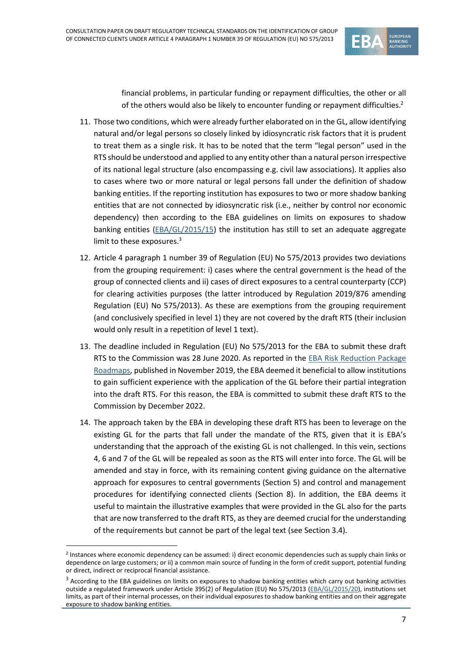

financial problems, in particular funding or repayment difficulties, the other or all of the others would also be likely to encounter funding or repayment difficulties.<sup>2</sup>

- 11. Those two conditions, which were already further elaborated on in the GL, allow identifying natural and/or legal persons so closely linked by idiosyncratic risk factors that it is prudent to treat them as a single risk. It has to be noted that the term "legal person" used in the RTS should be understood and applied to any entity other than a natural person irrespective of its national legal structure (also encompassing e.g. civil law associations). It applies also to cases where two or more natural or legal persons fall under the definition of shadow banking entities. If the reporting institution has exposures to two or more shadow banking entities that are not connected by idiosyncratic risk (i.e., neither by control nor economic dependency) then according to the EBA guidelines on limits on exposures to shadow banking entities [\(EBA/GL/2015/15\)](https://www.eba.europa.eu/sites/default/documents/files/documents/10180/1310259/f7e7ce6b-7075-44b5-9547-5534c8c39a37/EBA-GL-2015-20%20Final%20report%20on%20GL%20on%20Shadow%20Banking%20Entities.pdf) the institution has still to set an adequate aggregate limit to these exposures.<sup>3</sup>
- 12. Article 4 paragraph 1 number 39 of Regulation (EU) No 575/2013 provides two deviations from the grouping requirement: i) cases where the central government is the head of the group of connected clients and ii) cases of direct exposures to a central counterparty (CCP) for clearing activities purposes (the latter introduced by Regulation 2019/876 amending Regulation (EU) No 575/2013). As these are exemptions from the grouping requirement (and conclusively specified in level 1) they are not covered by the draft RTS (their inclusion would only result in a repetition of level 1 text).
- 13. The deadline included in Regulation (EU) No 575/2013 for the EBA to submit these draft RTS to the Commission was 28 June 2020. As reported in the [EBA Risk Reduction Package](https://www.eba.europa.eu/sites/default/documents/files/document_library/EBA%20Risk%20Reduction%20Package%20Roadmaps.docx.pdf)  [Roadmaps,](https://www.eba.europa.eu/sites/default/documents/files/document_library/EBA%20Risk%20Reduction%20Package%20Roadmaps.docx.pdf) published in November 2019, the EBA deemed it beneficial to allow institutions to gain sufficient experience with the application of the GL before their partial integration into the draft RTS. For this reason, the EBA is committed to submit these draft RTS to the Commission by December 2022.
- 14. The approach taken by the EBA in developing these draft RTS has been to leverage on the existing GL for the parts that fall under the mandate of the RTS, given that it is EBA's understanding that the approach of the existing GL is not challenged. In this vein, sections 4, 6 and 7 of the GL will be repealed as soon as the RTS will enter into force. The GL will be amended and stay in force, with its remaining content giving guidance on the alternative approach for exposures to central governments (Section 5) and control and management procedures for identifying connected clients (Section 8). In addition, the EBA deems it useful to maintain the illustrative examples that were provided in the GL also for the parts that are now transferred to the draft RTS, as they are deemed crucial for the understanding of the requirements but cannot be part of the legal text (see Section 3.4).

<sup>2</sup> Instances where economic dependency can be assumed: i) direct economic dependencies such as supply chain links or dependence on large customers; or ii) a common main source of funding in the form of credit support, potential funding or direct, indirect or reciprocal financial assistance.

 $3$  According to the EBA guidelines on limits on exposures to shadow banking entities which carry out banking activities outside a regulated framework under Article 395(2) of Regulation (EU) No 575/2013 [\(EBA/GL/2015/20\)](https://www.eba.europa.eu/sites/default/documents/files/documents/10180/1310259/f7e7ce6b-7075-44b5-9547-5534c8c39a37/EBA-GL-2015-20%20Final%20report%20on%20GL%20on%20Shadow%20Banking%20Entities.pdf), institutions set limits, as part of their internal processes, on their individual exposures to shadow banking entities and on their aggregate exposure to shadow banking entities.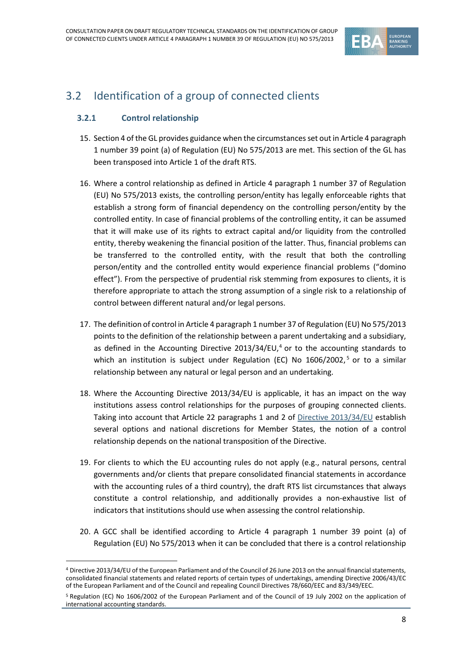

### <span id="page-7-0"></span>3.2 Identification of a group of connected clients

#### **3.2.1 Control relationship**

- 15. Section 4 of the GL provides guidance when the circumstances set out in Article 4 paragraph 1 number 39 point (a) of Regulation (EU) No 575/2013 are met. This section of the GL has been transposed into Article 1 of the draft RTS.
- 16. Where a control relationship as defined in Article 4 paragraph 1 number 37 of Regulation (EU) No 575/2013 exists, the controlling person/entity has legally enforceable rights that establish a strong form of financial dependency on the controlling person/entity by the controlled entity. In case of financial problems of the controlling entity, it can be assumed that it will make use of its rights to extract capital and/or liquidity from the controlled entity, thereby weakening the financial position of the latter. Thus, financial problems can be transferred to the controlled entity, with the result that both the controlling person/entity and the controlled entity would experience financial problems ("domino effect"). From the perspective of prudential risk stemming from exposures to clients, it is therefore appropriate to attach the strong assumption of a single risk to a relationship of control between different natural and/or legal persons.
- 17. The definition of control in Article 4 paragraph 1 number 37 of Regulation (EU) No 575/2013 points to the definition of the relationship between a parent undertaking and a subsidiary, as defined in the Accounting Directive 2013/34/EU, $<sup>4</sup>$  or to the accounting standards to</sup> which an institution is subject under Regulation (EC) No 1606/2002,<sup>5</sup> or to a similar relationship between any natural or legal person and an undertaking.
- 18. Where the Accounting Directive 2013/34/EU is applicable, it has an impact on the way institutions assess control relationships for the purposes of grouping connected clients. Taking into account that Article 22 paragraphs 1 and 2 of [Directive 2013/34/EU](https://eur-lex.europa.eu/legal-content/EN/TXT/HTML/?uri=CELEX:32013L0034&from=EN) establish several options and national discretions for Member States, the notion of a control relationship depends on the national transposition of the Directive.
- 19. For clients to which the EU accounting rules do not apply (e.g., natural persons, central governments and/or clients that prepare consolidated financial statements in accordance with the accounting rules of a third country), the draft RTS list circumstances that always constitute a control relationship, and additionally provides a non-exhaustive list of indicators that institutions should use when assessing the control relationship.
- 20. A GCC shall be identified according to Article 4 paragraph 1 number 39 point (a) of Regulation (EU) No 575/2013 when it can be concluded that there is a control relationship

<sup>4</sup> Directive 2013/34/EU of the European Parliament and of the Council of 26 June 2013 on the annual financial statements, consolidated financial statements and related reports of certain types of undertakings, amending Directive 2006/43/EC of the European Parliament and of the Council and repealing Council Directives 78/660/EEC and 83/349/EEC.

<sup>5</sup> Regulation (EC) No 1606/2002 of the European Parliament and of the Council of 19 July 2002 on the application of international accounting standards.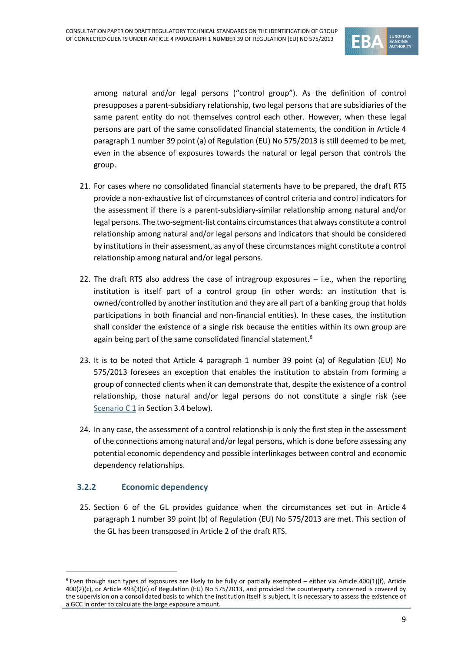

among natural and/or legal persons ("control group"). As the definition of control presupposes a parent-subsidiary relationship, two legal persons that are subsidiaries of the same parent entity do not themselves control each other. However, when these legal persons are part of the same consolidated financial statements, the condition in Article 4 paragraph 1 number 39 point (a) of Regulation (EU) No 575/2013 is still deemed to be met, even in the absence of exposures towards the natural or legal person that controls the group.

- 21. For cases where no consolidated financial statements have to be prepared, the draft RTS provide a non-exhaustive list of circumstances of control criteria and control indicators for the assessment if there is a parent-subsidiary-similar relationship among natural and/or legal persons. The two-segment-list contains circumstancesthat always constitute a control relationship among natural and/or legal persons and indicators that should be considered by institutions in their assessment, as any of these circumstances might constitute a control relationship among natural and/or legal persons.
- 22. The draft RTS also address the case of intragroup exposures i.e., when the reporting institution is itself part of a control group (in other words: an institution that is owned/controlled by another institution and they are all part of a banking group that holds participations in both financial and non-financial entities). In these cases, the institution shall consider the existence of a single risk because the entities within its own group are again being part of the same consolidated financial statement.<sup>6</sup>
- 23. It is to be noted that Article 4 paragraph 1 number 39 point (a) of Regulation (EU) No 575/2013 foresees an exception that enables the institution to abstain from forming a group of connected clients when it can demonstrate that, despite the existence of a control relationship, those natural and/or legal persons do not constitute a single risk (see [Scenario](#page-14-1) C 1 in Section 3.4 below).
- 24. In any case, the assessment of a control relationship is only the first step in the assessment of the connections among natural and/or legal persons, which is done before assessing any potential economic dependency and possible interlinkages between control and economic dependency relationships.

#### **3.2.2 Economic dependency**

25. Section 6 of the GL provides guidance when the circumstances set out in Article 4 paragraph 1 number 39 point (b) of Regulation (EU) No 575/2013 are met. This section of the GL has been transposed in Article 2 of the draft RTS.

 $6$  Even though such types of exposures are likely to be fully or partially exempted – either via Article 400(1)(f), Article 400(2)(c), or Article 493(3)(c) of Regulation (EU) No 575/2013, and provided the counterparty concerned is covered by the supervision on a consolidated basis to which the institution itself is subject, it is necessary to assess the existence of a GCC in order to calculate the large exposure amount.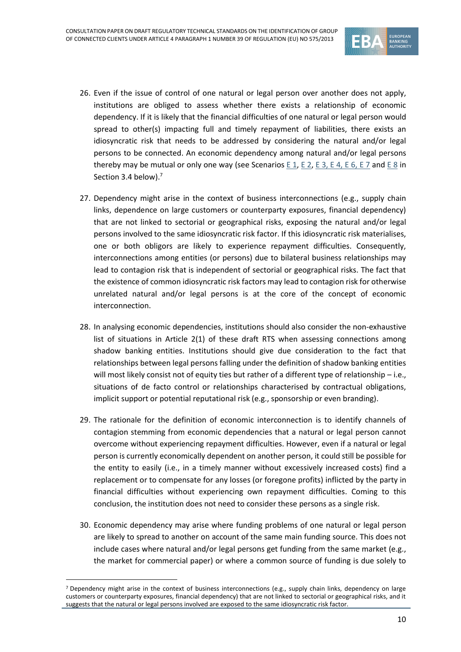

- 26. Even if the issue of control of one natural or legal person over another does not apply, institutions are obliged to assess whether there exists a relationship of economic dependency. If it is likely that the financial difficulties of one natural or legal person would spread to other(s) impacting full and timely repayment of liabilities, there exists an idiosyncratic risk that needs to be addressed by considering the natural and/or legal persons to be connected. An economic dependency among natural and/or legal persons thereby may be mutual or only one way (see Scenarios E [1,](#page-15-0) [E](#page-20-0) 2[, E](#page-16-1) 3, E [4,](#page-17-0) E 6, E 7 and E 8 in Section 3.4 below). 7
- 27. Dependency might arise in the context of business interconnections (e.g., supply chain links, dependence on large customers or counterparty exposures, financial dependency) that are not linked to sectorial or geographical risks, exposing the natural and/or legal persons involved to the same idiosyncratic risk factor. If this idiosyncratic risk materialises, one or both obligors are likely to experience repayment difficulties. Consequently, interconnections among entities (or persons) due to bilateral business relationships may lead to contagion risk that is independent of sectorial or geographical risks. The fact that the existence of common idiosyncratic risk factors may lead to contagion risk for otherwise unrelated natural and/or legal persons is at the core of the concept of economic interconnection.
- 28. In analysing economic dependencies, institutions should also consider the non-exhaustive list of situations in Article 2(1) of these draft RTS when assessing connections among shadow banking entities. Institutions should give due consideration to the fact that relationships between legal persons falling under the definition of shadow banking entities will most likely consist not of equity ties but rather of a different type of relationship – i.e., situations of de facto control or relationships characterised by contractual obligations, implicit support or potential reputational risk (e.g., sponsorship or even branding).
- 29. The rationale for the definition of economic interconnection is to identify channels of contagion stemming from economic dependencies that a natural or legal person cannot overcome without experiencing repayment difficulties. However, even if a natural or legal person is currently economically dependent on another person, it could still be possible for the entity to easily (i.e., in a timely manner without excessively increased costs) find a replacement or to compensate for any losses (or foregone profits) inflicted by the party in financial difficulties without experiencing own repayment difficulties. Coming to this conclusion, the institution does not need to consider these persons as a single risk.
- 30. Economic dependency may arise where funding problems of one natural or legal person are likely to spread to another on account of the same main funding source. This does not include cases where natural and/or legal persons get funding from the same market (e.g., the market for commercial paper) or where a common source of funding is due solely to

<sup>&</sup>lt;sup>7</sup> Dependency might arise in the context of business interconnections (e.g., supply chain links, dependency on large customers or counterparty exposures, financial dependency) that are not linked to sectorial or geographical risks, and it suggests that the natural or legal persons involved are exposed to the same idiosyncratic risk factor.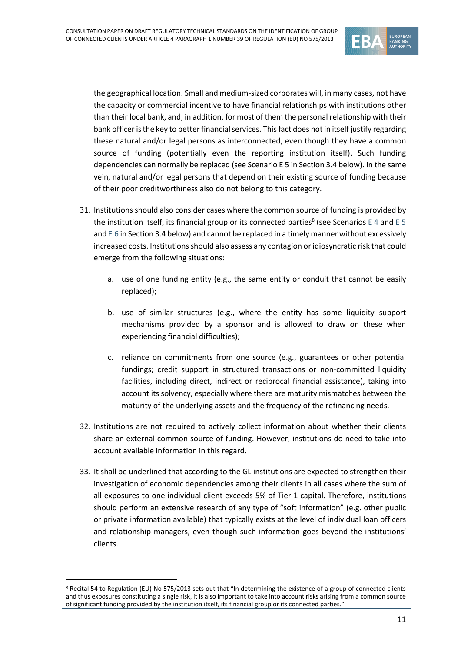

the geographical location. Small and medium-sized corporates will, in many cases, not have the capacity or commercial incentive to have financial relationships with institutions other than their local bank, and, in addition, for most of them the personal relationship with their bank officer is the key to better financial services. This fact does not in itself justify regarding these natural and/or legal persons as interconnected, even though they have a common source of funding (potentially even the reporting institution itself). Such funding dependencies can normally be replaced (see Scenari[o E 5](#page-17-1) in Section 3.4 below). In the same vein, natural and/or legal persons that depend on their existing source of funding because of their poor creditworthiness also do not belong to this category.

- 31. Institutions should also consider cases where the common source of funding is provided by the institution itself, its financial group or its connected parties<sup>8</sup> (see Scenarios  $\underline{\mathsf{E}}\,4$  and  $\underline{\mathsf{E}}\,5$ and [E](#page-17-0) 6 in Section 3.4 below) and cannot be replaced in a timely manner without excessively increased costs. Institutions should also assess any contagion or idiosyncratic risk that could emerge from the following situations:
	- a. use of one funding entity (e.g., the same entity or conduit that cannot be easily replaced);
	- b. use of similar structures (e.g., where the entity has some liquidity support mechanisms provided by a sponsor and is allowed to draw on these when experiencing financial difficulties);
	- c. reliance on commitments from one source (e.g., guarantees or other potential fundings; credit support in structured transactions or non-committed liquidity facilities, including direct, indirect or reciprocal financial assistance), taking into account its solvency, especially where there are maturity mismatches between the maturity of the underlying assets and the frequency of the refinancing needs.
- 32. Institutions are not required to actively collect information about whether their clients share an external common source of funding. However, institutions do need to take into account available information in this regard.
- 33. It shall be underlined that according to the GL institutions are expected to strengthen their investigation of economic dependencies among their clients in all cases where the sum of all exposures to one individual client exceeds 5% of Tier 1 capital. Therefore, institutions should perform an extensive research of any type of "soft information" (e.g. other public or private information available) that typically exists at the level of individual loan officers and relationship managers, even though such information goes beyond the institutions' clients.

<sup>8</sup> Recital 54 to Regulation (EU) No 575/2013 sets out that "In determining the existence of a group of connected clients and thus exposures constituting a single risk, it is also important to take into account risks arising from a common source of significant funding provided by the institution itself, its financial group or its connected parties."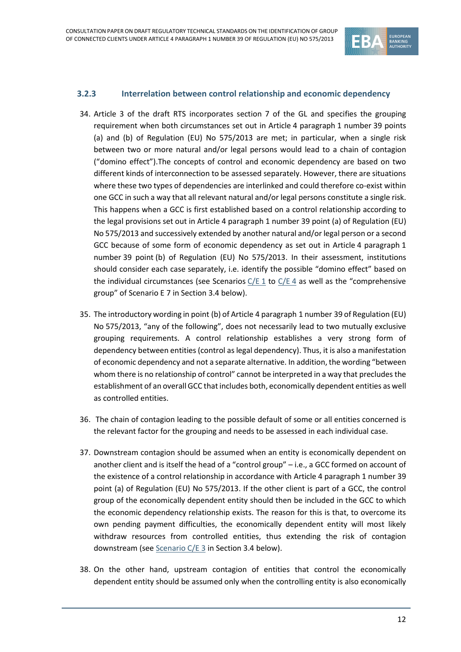

#### **3.2.3 Interrelation between control relationship and economic dependency**

- 34. Article 3 of the draft RTS incorporates section 7 of the GL and specifies the grouping requirement when both circumstances set out in Article 4 paragraph 1 number 39 points (a) and (b) of Regulation (EU) No 575/2013 are met; in particular, when a single risk between two or more natural and/or legal persons would lead to a chain of contagion ("domino effect").The concepts of control and economic dependency are based on two different kinds of interconnection to be assessed separately. However, there are situations where these two types of dependencies are interlinked and could therefore co-exist within one GCC in such a way that all relevant natural and/or legal persons constitute a single risk. This happens when a GCC is first established based on a control relationship according to the legal provisions set out in Article 4 paragraph 1 number 39 point (a) of Regulation (EU) No 575/2013 and successively extended by another natural and/or legal person or a second GCC because of some form of economic dependency as set out in Article 4 paragraph 1 number 39 point (b) of Regulation (EU) No 575/2013. In their assessment, institutions should consider each case separately, i.e. identify the possible "domino effect" based on the individual circumstances (see Scenarios  $C/E 1$  $C/E 1$  to  $C/E 4$  as well as the "comprehensive group" of Scenario E 7 in Section 3.4 below).
- 35. The introductory wording in point (b) of Article 4 paragraph 1 number 39 of Regulation (EU) No 575/2013, "any of the following", does not necessarily lead to two mutually exclusive grouping requirements. A control relationship establishes a very strong form of dependency between entities (control as legal dependency). Thus, it is also a manifestation of economic dependency and not a separate alternative. In addition, the wording "between whom there is no relationship of control" cannot be interpreted in a way that precludes the establishment of an overall GCC that includes both, economically dependent entities as well as controlled entities.
- 36. The chain of contagion leading to the possible default of some or all entities concerned is the relevant factor for the grouping and needs to be assessed in each individual case.
- 37. Downstream contagion should be assumed when an entity is economically dependent on another client and is itself the head of a "control group" – i.e., a GCC formed on account of the existence of a control relationship in accordance with Article 4 paragraph 1 number 39 point (a) of Regulation (EU) No 575/2013. If the other client is part of a GCC, the control group of the economically dependent entity should then be included in the GCC to which the economic dependency relationship exists. The reason for this is that, to overcome its own pending payment difficulties, the economically dependent entity will most likely withdraw resources from controlled entities, thus extending the risk of contagion downstream (see [Scenario C/E 3](#page-21-1) in Section 3.4 below).
- 38. On the other hand, upstream contagion of entities that control the economically dependent entity should be assumed only when the controlling entity is also economically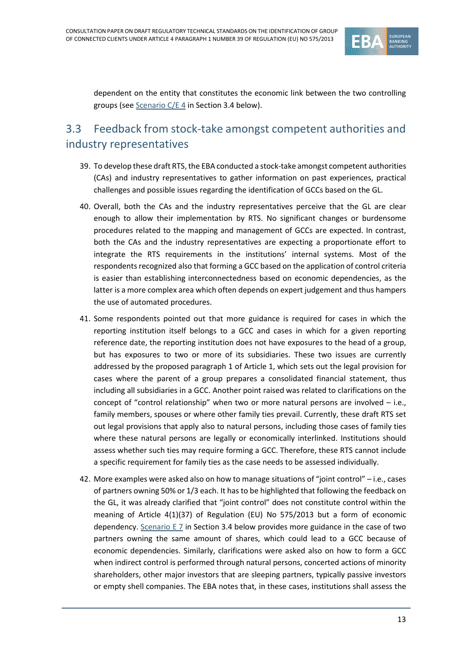

dependent on the entity that constitutes the economic link between the two controlling groups (see [Scenario C/E 4](#page-22-0) in Section 3.4 below).

### <span id="page-12-0"></span>3.3 Feedback from stock-take amongst competent authorities and industry representatives

- 39. To develop these draft RTS, the EBA conducted a stock-take amongst competent authorities (CAs) and industry representatives to gather information on past experiences, practical challenges and possible issues regarding the identification of GCCs based on the GL.
- 40. Overall, both the CAs and the industry representatives perceive that the GL are clear enough to allow their implementation by RTS. No significant changes or burdensome procedures related to the mapping and management of GCCs are expected. In contrast, both the CAs and the industry representatives are expecting a proportionate effort to integrate the RTS requirements in the institutions' internal systems. Most of the respondents recognized also that forming a GCC based on the application of control criteria is easier than establishing interconnectedness based on economic dependencies, as the latter is a more complex area which often depends on expert judgement and thus hampers the use of automated procedures.
- 41. Some respondents pointed out that more guidance is required for cases in which the reporting institution itself belongs to a GCC and cases in which for a given reporting reference date, the reporting institution does not have exposures to the head of a group, but has exposures to two or more of its subsidiaries. These two issues are currently addressed by the proposed paragraph 1 of Article 1, which sets out the legal provision for cases where the parent of a group prepares a consolidated financial statement, thus including all subsidiaries in a GCC. Another point raised was related to clarifications on the concept of "control relationship" when two or more natural persons are involved – i.e., family members, spouses or where other family ties prevail. Currently, these draft RTS set out legal provisions that apply also to natural persons, including those cases of family ties where these natural persons are legally or economically interlinked. Institutions should assess whether such ties may require forming a GCC. Therefore, these RTS cannot include a specific requirement for family ties as the case needs to be assessed individually.
- 42. More examples were asked also on how to manage situations of "joint control" i.e., cases of partners owning 50% or 1/3 each. It has to be highlighted that following the feedback on the GL, it was already clarified that "joint control" does not constitute control within the meaning of Article 4(1)(37) of Regulation (EU) No 575/2013 but a form of economic dependency. [Scenario](#page-19-0) E 7 in Section 3.4 below provides more guidance in the case of two partners owning the same amount of shares, which could lead to a GCC because of economic dependencies. Similarly, clarifications were asked also on how to form a GCC when indirect control is performed through natural persons, concerted actions of minority shareholders, other major investors that are sleeping partners, typically passive investors or empty shell companies. The EBA notes that, in these cases, institutions shall assess the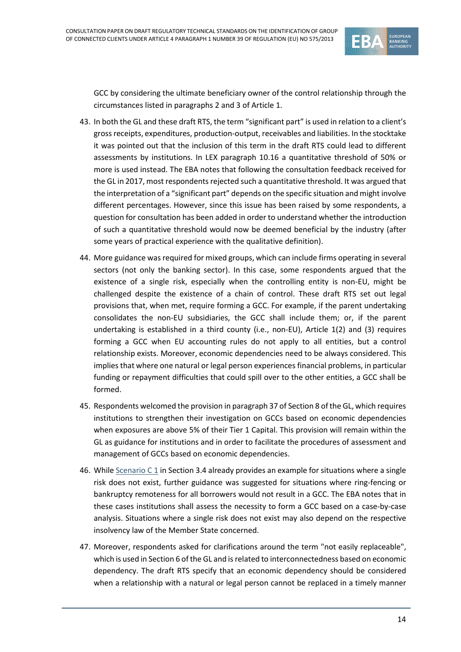

GCC by considering the ultimate beneficiary owner of the control relationship through the circumstances listed in paragraphs 2 and 3 of Article 1.

- 43. In both the GL and these draft RTS, the term "significant part" is used in relation to a client's gross receipts, expenditures, production-output, receivables and liabilities. In the stocktake it was pointed out that the inclusion of this term in the draft RTS could lead to different assessments by institutions. In LEX paragraph 10.16 a quantitative threshold of 50% or more is used instead. The EBA notes that following the consultation feedback received for the GL in 2017, most respondents rejected such a quantitative threshold. It was argued that the interpretation of a "significant part" depends on the specific situation and might involve different percentages. However, since this issue has been raised by some respondents, a question for consultation has been added in order to understand whether the introduction of such a quantitative threshold would now be deemed beneficial by the industry (after some years of practical experience with the qualitative definition).
- 44. More guidance was required for mixed groups, which can include firms operating in several sectors (not only the banking sector). In this case, some respondents argued that the existence of a single risk, especially when the controlling entity is non-EU, might be challenged despite the existence of a chain of control. These draft RTS set out legal provisions that, when met, require forming a GCC. For example, if the parent undertaking consolidates the non-EU subsidiaries, the GCC shall include them; or, if the parent undertaking is established in a third county (i.e., non-EU), Article 1(2) and (3) requires forming a GCC when EU accounting rules do not apply to all entities, but a control relationship exists. Moreover, economic dependencies need to be always considered. This implies that where one natural or legal person experiences financial problems, in particular funding or repayment difficulties that could spill over to the other entities, a GCC shall be formed.
- 45. Respondents welcomed the provision in paragraph 37 of Section 8 of the GL, which requires institutions to strengthen their investigation on GCCs based on economic dependencies when exposures are above 5% of their Tier 1 Capital. This provision will remain within the GL as guidance for institutions and in order to facilitate the procedures of assessment and management of GCCs based on economic dependencies.
- 46. Whil[e Scenario](#page-14-1) C 1 in Section 3.4 already provides an example for situations where a single risk does not exist, further guidance was suggested for situations where ring-fencing or bankruptcy remoteness for all borrowers would not result in a GCC. The EBA notes that in these cases institutions shall assess the necessity to form a GCC based on a case-by-case analysis. Situations where a single risk does not exist may also depend on the respective insolvency law of the Member State concerned.
- 47. Moreover, respondents asked for clarifications around the term "not easily replaceable", which is used in Section 6 of the GL and is related to interconnectedness based on economic dependency. The draft RTS specify that an economic dependency should be considered when a relationship with a natural or legal person cannot be replaced in a timely manner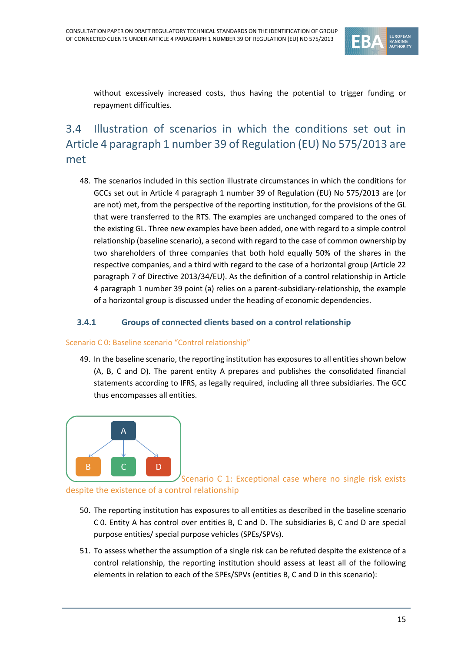

without excessively increased costs, thus having the potential to trigger funding or repayment difficulties.

### <span id="page-14-0"></span>3.4 Illustration of scenarios in which the conditions set out in Article 4 paragraph 1 number 39 of Regulation (EU) No 575/2013 are met

48. The scenarios included in this section illustrate circumstances in which the conditions for GCCs set out in Article 4 paragraph 1 number 39 of Regulation (EU) No 575/2013 are (or are not) met, from the perspective of the reporting institution, for the provisions of the GL that were transferred to the RTS. The examples are unchanged compared to the ones of the existing GL. Three new examples have been added, one with regard to a simple control relationship (baseline scenario), a second with regard to the case of common ownership by two shareholders of three companies that both hold equally 50% of the shares in the respective companies, and a third with regard to the case of a horizontal group (Article 22 paragraph 7 of Directive 2013/34/EU). As the definition of a control relationship in Article 4 paragraph 1 number 39 point (a) relies on a parent-subsidiary-relationship, the example of a horizontal group is discussed under the heading of economic dependencies.

#### **3.4.1 Groups of connected clients based on a control relationship**

#### <span id="page-14-1"></span>Scenario C 0: Baseline scenario "Control relationship"

49. In the baseline scenario, the reporting institution has exposures to all entities shown below (A, B, C and D). The parent entity A prepares and publishes the consolidated financial statements according to IFRS, as legally required, including all three subsidiaries. The GCC thus encompasses all entities.



Scenario C 1: Exceptional case where no single risk exists despite the existence of a control relationship

- 50. The reporting institution has exposures to all entities as described in the baseline scenario C 0. Entity A has control over entities B, C and D. The subsidiaries B, C and D are special purpose entities/ special purpose vehicles (SPEs/SPVs).
- 51. To assess whether the assumption of a single risk can be refuted despite the existence of a control relationship, the reporting institution should assess at least all of the following elements in relation to each of the SPEs/SPVs (entities B, C and D in this scenario):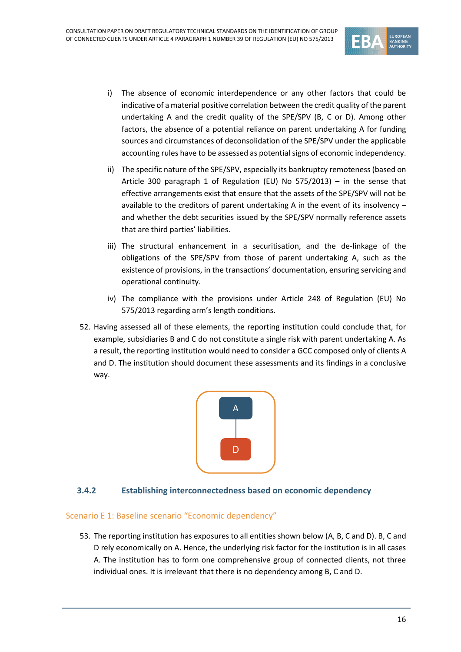

- i) The absence of economic interdependence or any other factors that could be indicative of a material positive correlation between the credit quality of the parent undertaking A and the credit quality of the SPE/SPV (B, C or D). Among other factors, the absence of a potential reliance on parent undertaking A for funding sources and circumstances of deconsolidation of the SPE/SPV under the applicable accounting rules have to be assessed as potential signs of economic independency.
- ii) The specific nature of the SPE/SPV, especially its bankruptcy remoteness (based on Article 300 paragraph 1 of Regulation (EU) No 575/2013) – in the sense that effective arrangements exist that ensure that the assets of the SPE/SPV will not be available to the creditors of parent undertaking A in the event of its insolvency – and whether the debt securities issued by the SPE/SPV normally reference assets that are third parties' liabilities.
- iii) The structural enhancement in a securitisation, and the de-linkage of the obligations of the SPE/SPV from those of parent undertaking A, such as the existence of provisions, in the transactions' documentation, ensuring servicing and operational continuity.
- iv) The compliance with the provisions under Article 248 of Regulation (EU) No 575/2013 regarding arm's length conditions.
- 52. Having assessed all of these elements, the reporting institution could conclude that, for example, subsidiaries B and C do not constitute a single risk with parent undertaking A. As a result, the reporting institution would need to consider a GCC composed only of clients A and D. The institution should document these assessments and its findings in a conclusive way.



#### **3.4.2 Establishing interconnectedness based on economic dependency**

#### <span id="page-15-0"></span>Scenario E 1: Baseline scenario "Economic dependency"

53. The reporting institution has exposures to all entities shown below (A, B, C and D). B, C and D rely economically on A. Hence, the underlying risk factor for the institution is in all cases A. The institution has to form one comprehensive group of connected clients, not three individual ones. It is irrelevant that there is no dependency among B, C and D.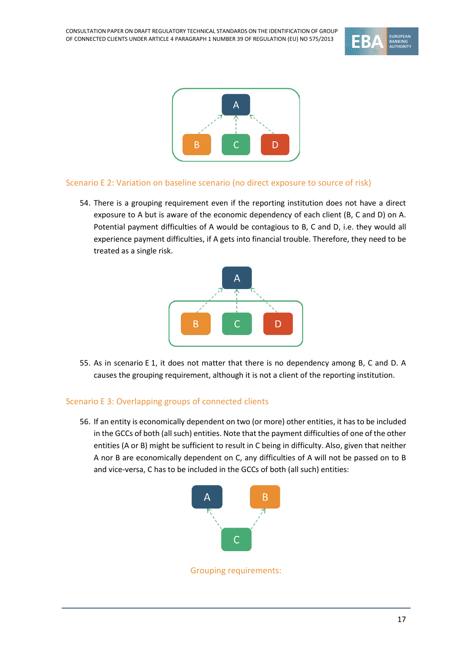



#### <span id="page-16-0"></span>Scenario E 2: Variation on baseline scenario (no direct exposure to source of risk)

54. There is a grouping requirement even if the reporting institution does not have a direct exposure to A but is aware of the economic dependency of each client (B, C and D) on A. Potential payment difficulties of A would be contagious to B, C and D, i.e. they would all experience payment difficulties, if A gets into financial trouble. Therefore, they need to be treated as a single risk.



55. As in scenario E 1, it does not matter that there is no dependency among B, C and D. A causes the grouping requirement, although it is not a client of the reporting institution.

#### <span id="page-16-1"></span>Scenario E 3: Overlapping groups of connected clients

56. If an entity is economically dependent on two (or more) other entities, it has to be included in the GCCs of both (all such) entities. Note that the payment difficulties of one of the other entities (A or B) might be sufficient to result in C being in difficulty. Also, given that neither A nor B are economically dependent on C, any difficulties of A will not be passed on to B and vice-versa, C has to be included in the GCCs of both (all such) entities:



Grouping requirements: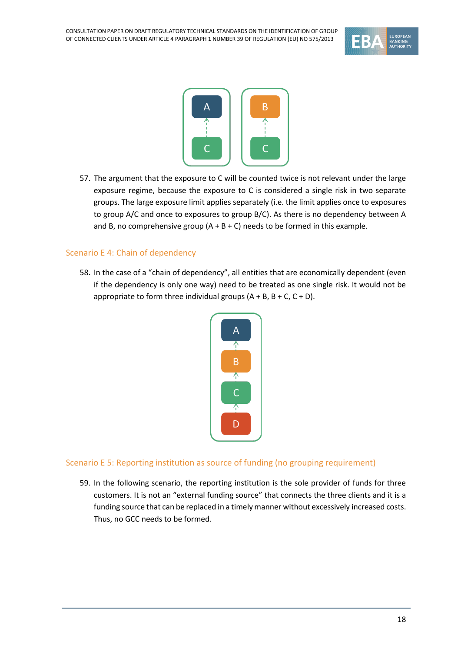



57. The argument that the exposure to C will be counted twice is not relevant under the large exposure regime, because the exposure to C is considered a single risk in two separate groups. The large exposure limit applies separately (i.e. the limit applies once to exposures to group A/C and once to exposures to group B/C). As there is no dependency between A and B, no comprehensive group  $(A + B + C)$  needs to be formed in this example.

#### <span id="page-17-0"></span>Scenario E 4: Chain of dependency

58. In the case of a "chain of dependency", all entities that are economically dependent (even if the dependency is only one way) need to be treated as one single risk. It would not be appropriate to form three individual groups  $(A + B, B + C, C + D)$ .



#### <span id="page-17-1"></span>Scenario E 5: Reporting institution as source of funding (no grouping requirement)

59. In the following scenario, the reporting institution is the sole provider of funds for three customers. It is not an "external funding source" that connects the three clients and it is a funding source that can be replaced in a timely manner without excessively increased costs. Thus, no GCC needs to be formed.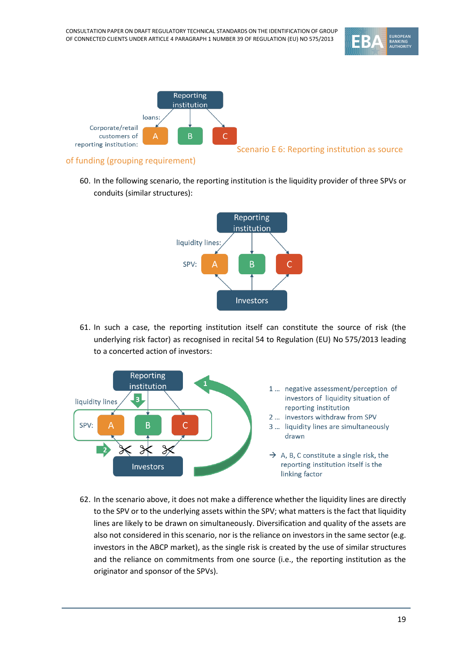<span id="page-18-0"></span>



#### of funding (grouping requirement)

60. In the following scenario, the reporting institution is the liquidity provider of three SPVs or conduits (similar structures):



61. In such a case, the reporting institution itself can constitute the source of risk (the underlying risk factor) as recognised in recital 54 to Regulation (EU) No 575/2013 leading to a concerted action of investors:



62. In the scenario above, it does not make a difference whether the liquidity lines are directly to the SPV or to the underlying assets within the SPV; what matters is the fact that liquidity lines are likely to be drawn on simultaneously. Diversification and quality of the assets are also not considered in this scenario, nor is the reliance on investors in the same sector (e.g. investors in the ABCP market), as the single risk is created by the use of similar structures and the reliance on commitments from one source (i.e., the reporting institution as the originator and sponsor of the SPVs).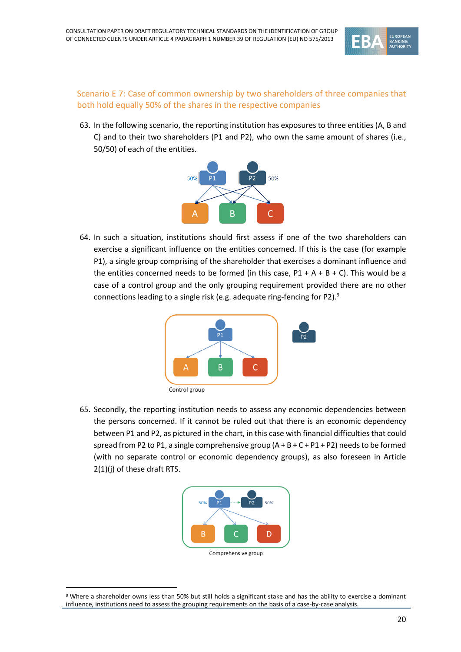

#### <span id="page-19-0"></span>Scenario E 7: Case of common ownership by two shareholders of three companies that both hold equally 50% of the shares in the respective companies

63. In the following scenario, the reporting institution has exposures to three entities (A, B and C) and to their two shareholders (P1 and P2), who own the same amount of shares (i.e., 50/50) of each of the entities.



64. In such a situation, institutions should first assess if one of the two shareholders can exercise a significant influence on the entities concerned. If this is the case (for example P1), a single group comprising of the shareholder that exercises a dominant influence and the entities concerned needs to be formed (in this case,  $P1 + A + B + C$ ). This would be a case of a control group and the only grouping requirement provided there are no other connections leading to a single risk (e.g. adequate ring-fencing for P2).<sup>9</sup>



65. Secondly, the reporting institution needs to assess any economic dependencies between the persons concerned. If it cannot be ruled out that there is an economic dependency between P1 and P2, as pictured in the chart, in this case with financial difficulties that could spread from P2 to P1, a single comprehensive group  $(A + B + C + P1 + P2)$  needs to be formed (with no separate control or economic dependency groups), as also foreseen in Article 2(1)(j) of these draft RTS.



<sup>9</sup> Where a shareholder owns less than 50% but still holds a significant stake and has the ability to exercise a dominant influence, institutions need to assess the grouping requirements on the basis of a case-by-case analysis.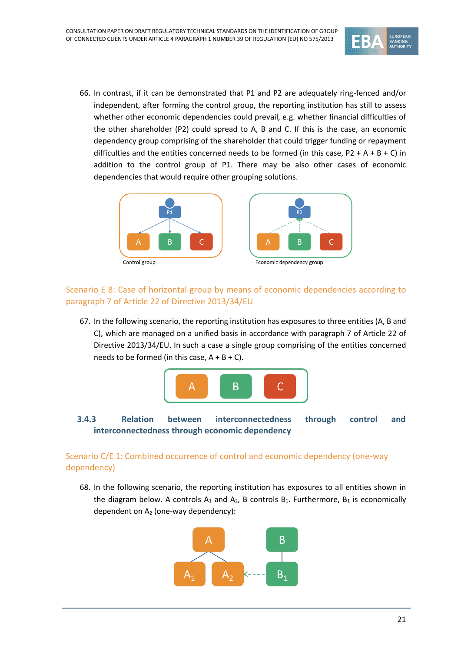

66. In contrast, if it can be demonstrated that P1 and P2 are adequately ring-fenced and/or independent, after forming the control group, the reporting institution has still to assess whether other economic dependencies could prevail, e.g. whether financial difficulties of the other shareholder (P2) could spread to A, B and C. If this is the case, an economic dependency group comprising of the shareholder that could trigger funding or repayment difficulties and the entities concerned needs to be formed (in this case,  $P2 + A + B + C$ ) in addition to the control group of P1. There may be also other cases of economic dependencies that would require other grouping solutions.



#### <span id="page-20-0"></span>Scenario E 8: Case of horizontal group by means of economic dependencies according to paragraph 7 of Article 22 of Directive 2013/34/EU

67. In the following scenario, the reporting institution has exposures to three entities (A, B and C), which are managed on a unified basis in accordance with paragraph 7 of Article 22 of Directive 2013/34/EU. In such a case a single group comprising of the entities concerned needs to be formed (in this case,  $A + B + C$ ).



#### **3.4.3 Relation between interconnectedness through control and interconnectedness through economic dependency**

#### <span id="page-20-1"></span>Scenario C/E 1: Combined occurrence of control and economic dependency (one-way dependency)

68. In the following scenario, the reporting institution has exposures to all entities shown in the diagram below. A controls  $A_1$  and  $A_2$ , B controls  $B_1$ . Furthermore,  $B_1$  is economically dependent on  $A_2$  (one-way dependency):

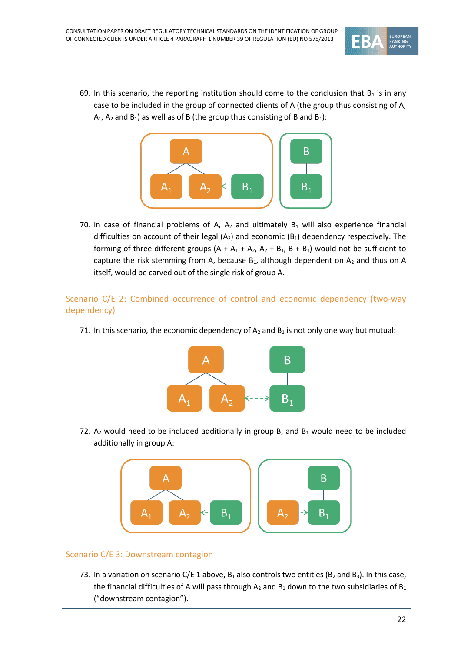

69. In this scenario, the reporting institution should come to the conclusion that  $B_1$  is in any case to be included in the group of connected clients of A (the group thus consisting of A,  $A_1$ ,  $A_2$  and  $B_1$ ) as well as of B (the group thus consisting of B and  $B_1$ ):



70. In case of financial problems of A,  $A_2$  and ultimately  $B_1$  will also experience financial difficulties on account of their legal  $(A_2)$  and economic  $(B_1)$  dependency respectively. The forming of three different groups  $(A + A_1 + A_2, A_2 + B_1, B + B_1)$  would not be sufficient to capture the risk stemming from A, because  $B_1$ , although dependent on  $A_2$  and thus on A itself, would be carved out of the single risk of group A.

#### <span id="page-21-0"></span>Scenario C/E 2: Combined occurrence of control and economic dependency (two-way dependency)

71. In this scenario, the economic dependency of  $A_2$  and  $B_1$  is not only one way but mutual:



72.  $A_2$  would need to be included additionally in group B, and B<sub>1</sub> would need to be included additionally in group A:



#### <span id="page-21-1"></span>Scenario C/E 3: Downstream contagion

73. In a variation on scenario C/E 1 above,  $B_1$  also controls two entities ( $B_2$  and  $B_3$ ). In this case, the financial difficulties of A will pass through  $A_2$  and  $B_1$  down to the two subsidiaries of  $B_1$ ("downstream contagion").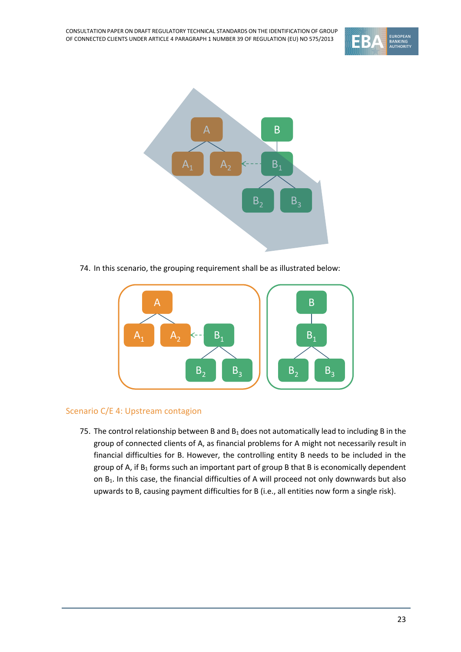



74. In this scenario, the grouping requirement shall be as illustrated below:



#### <span id="page-22-0"></span>Scenario C/E 4: Upstream contagion

75. The control relationship between B and  $B_1$  does not automatically lead to including B in the group of connected clients of A, as financial problems for A might not necessarily result in financial difficulties for B. However, the controlling entity B needs to be included in the group of A, if  $B_1$  forms such an important part of group B that B is economically dependent on B<sub>1</sub>. In this case, the financial difficulties of A will proceed not only downwards but also upwards to B, causing payment difficulties for B (i.e., all entities now form a single risk).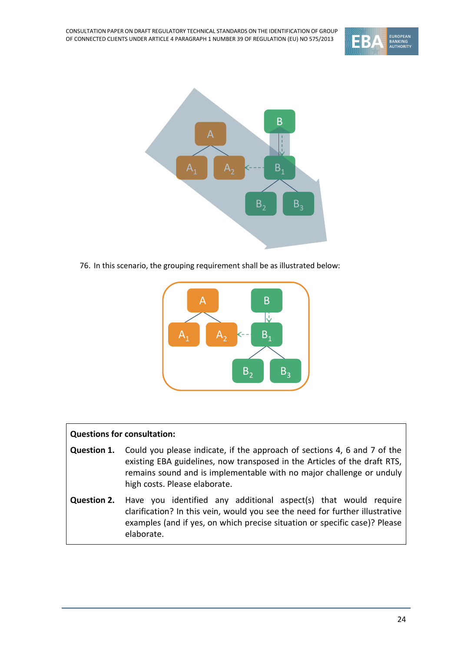



76. In this scenario, the grouping requirement shall be as illustrated below:



#### **Questions for consultation:**

- **Question 1.** Could you please indicate, if the approach of sections 4, 6 and 7 of the existing EBA guidelines, now transposed in the Articles of the draft RTS, remains sound and is implementable with no major challenge or unduly high costs. Please elaborate.
- **Question 2.** Have you identified any additional aspect(s) that would require clarification? In this vein, would you see the need for further illustrative examples (and if yes, on which precise situation or specific case)? Please elaborate.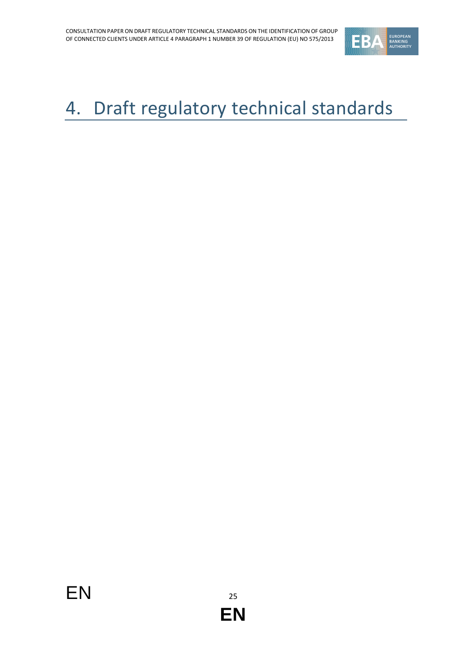

# <span id="page-24-0"></span>4. Draft regulatory technical standards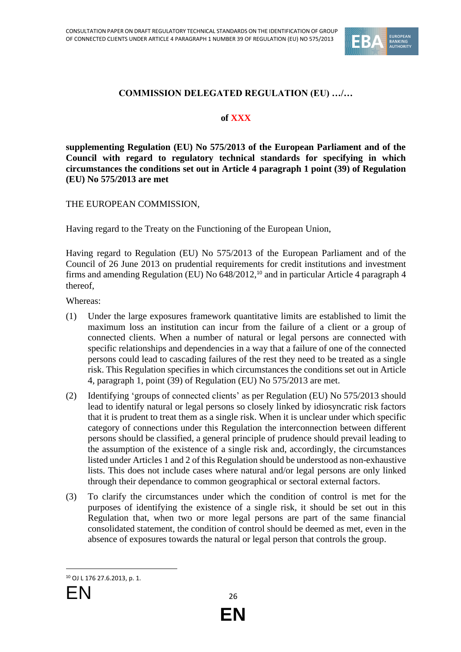

#### **COMMISSION DELEGATED REGULATION (EU) …/…**

#### **of XXX**

**supplementing Regulation (EU) No 575/2013 of the European Parliament and of the Council with regard to regulatory technical standards for specifying in which circumstances the conditions set out in Article 4 paragraph 1 point (39) of Regulation (EU) No 575/2013 are met**

THE EUROPEAN COMMISSION,

Having regard to the Treaty on the Functioning of the European Union,

Having regard to Regulation (EU) No 575/2013 of the European Parliament and of the Council of 26 June 2013 on prudential requirements for credit institutions and investment firms and amending Regulation (EU) No 648/2012,<sup>10</sup> and in particular Article 4 paragraph 4 thereof,

Whereas:

- (1) Under the large exposures framework quantitative limits are established to limit the maximum loss an institution can incur from the failure of a client or a group of connected clients. When a number of natural or legal persons are connected with specific relationships and dependencies in a way that a failure of one of the connected persons could lead to cascading failures of the rest they need to be treated as a single risk. This Regulation specifies in which circumstances the conditions set out in Article 4, paragraph 1, point (39) of Regulation (EU) No 575/2013 are met.
- (2) Identifying 'groups of connected clients' as per Regulation (EU) No 575/2013 should lead to identify natural or legal persons so closely linked by idiosyncratic risk factors that it is prudent to treat them as a single risk. When it is unclear under which specific category of connections under this Regulation the interconnection between different persons should be classified, a general principle of prudence should prevail leading to the assumption of the existence of a single risk and, accordingly, the circumstances listed under Articles 1 and 2 of this Regulation should be understood as non-exhaustive lists. This does not include cases where natural and/or legal persons are only linked through their dependance to common geographical or sectoral external factors.
- (3) To clarify the circumstances under which the condition of control is met for the purposes of identifying the existence of a single risk, it should be set out in this Regulation that, when two or more legal persons are part of the same financial consolidated statement, the condition of control should be deemed as met, even in the absence of exposures towards the natural or legal person that controls the group.

<sup>10</sup> OJ L 176 27.6.2013, p. 1.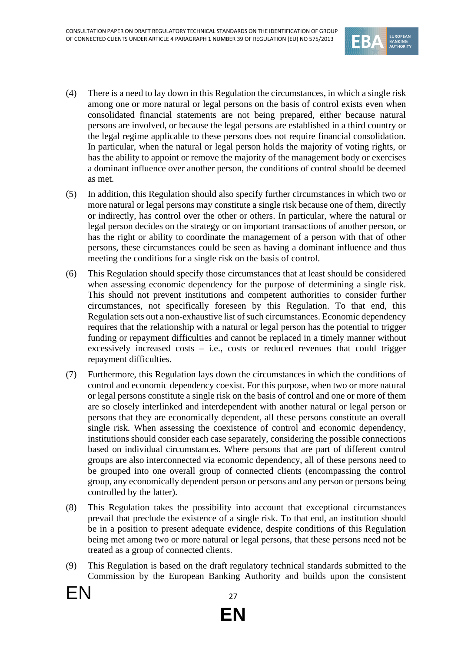

- (4) There is a need to lay down in this Regulation the circumstances, in which a single risk among one or more natural or legal persons on the basis of control exists even when consolidated financial statements are not being prepared, either because natural persons are involved, or because the legal persons are established in a third country or the legal regime applicable to these persons does not require financial consolidation. In particular, when the natural or legal person holds the majority of voting rights, or has the ability to appoint or remove the majority of the management body or exercises a dominant influence over another person, the conditions of control should be deemed as met.
- (5) In addition, this Regulation should also specify further circumstances in which two or more natural or legal persons may constitute a single risk because one of them, directly or indirectly, has control over the other or others. In particular, where the natural or legal person decides on the strategy or on important transactions of another person, or has the right or ability to coordinate the management of a person with that of other persons, these circumstances could be seen as having a dominant influence and thus meeting the conditions for a single risk on the basis of control.
- (6) This Regulation should specify those circumstances that at least should be considered when assessing economic dependency for the purpose of determining a single risk. This should not prevent institutions and competent authorities to consider further circumstances, not specifically foreseen by this Regulation. To that end, this Regulation sets out a non-exhaustive list of such circumstances. Economic dependency requires that the relationship with a natural or legal person has the potential to trigger funding or repayment difficulties and cannot be replaced in a timely manner without excessively increased costs – i.e., costs or reduced revenues that could trigger repayment difficulties.
- (7) Furthermore, this Regulation lays down the circumstances in which the conditions of control and economic dependency coexist. For this purpose, when two or more natural or legal persons constitute a single risk on the basis of control and one or more of them are so closely interlinked and interdependent with another natural or legal person or persons that they are economically dependent, all these persons constitute an overall single risk. When assessing the coexistence of control and economic dependency, institutions should consider each case separately, considering the possible connections based on individual circumstances. Where persons that are part of different control groups are also interconnected via economic dependency, all of these persons need to be grouped into one overall group of connected clients (encompassing the control group, any economically dependent person or persons and any person or persons being controlled by the latter).
- (8) This Regulation takes the possibility into account that exceptional circumstances prevail that preclude the existence of a single risk. To that end, an institution should be in a position to present adequate evidence, despite conditions of this Regulation being met among two or more natural or legal persons, that these persons need not be treated as a group of connected clients.
- (9) This Regulation is based on the draft regulatory technical standards submitted to the Commission by the European Banking Authority and builds upon the consistent

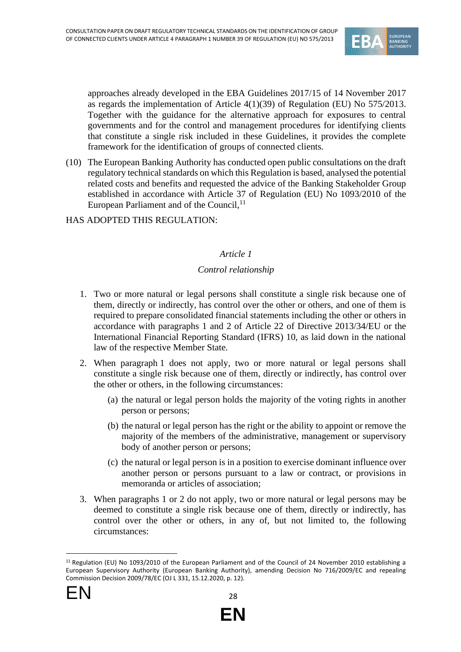

approaches already developed in the EBA Guidelines 2017/15 of 14 November 2017 as regards the implementation of Article 4(1)(39) of Regulation (EU) No 575/2013. Together with the guidance for the alternative approach for exposures to central governments and for the control and management procedures for identifying clients that constitute a single risk included in these Guidelines, it provides the complete framework for the identification of groups of connected clients.

- (10) The European Banking Authority has conducted open public consultations on the draft regulatory technical standards on which this Regulation is based, analysed the potential related costs and benefits and requested the advice of the Banking Stakeholder Group established in accordance with Article 37 of Regulation (EU) No 1093/2010 of the European Parliament and of the Council,<sup>11</sup>
- HAS ADOPTED THIS REGULATION:

#### *Article 1*

#### *Control relationship*

- 1. Two or more natural or legal persons shall constitute a single risk because one of them, directly or indirectly, has control over the other or others, and one of them is required to prepare consolidated financial statements including the other or others in accordance with paragraphs 1 and 2 of Article 22 of Directive 2013/34/EU or the International Financial Reporting Standard (IFRS) 10, as laid down in the national law of the respective Member State.
- 2. When paragraph 1 does not apply, two or more natural or legal persons shall constitute a single risk because one of them, directly or indirectly, has control over the other or others, in the following circumstances:
	- (a) the natural or legal person holds the majority of the voting rights in another person or persons;
	- (b) the natural or legal person has the right or the ability to appoint or remove the majority of the members of the administrative, management or supervisory body of another person or persons;
	- (c) the natural or legal person is in a position to exercise dominant influence over another person or persons pursuant to a law or contract, or provisions in memoranda or articles of association;
- 3. When paragraphs 1 or 2 do not apply, two or more natural or legal persons may be deemed to constitute a single risk because one of them, directly or indirectly, has control over the other or others, in any of, but not limited to, the following circumstances:



<sup>11</sup> Regulation (EU) No 1093/2010 of the European Parliament and of the Council of 24 November 2010 establishing a European Supervisory Authority (European Banking Authority), amending Decision No 716/2009/EC and repealing Commission Decision 2009/78/EC (OJ L 331, 15.12.2020, p. 12).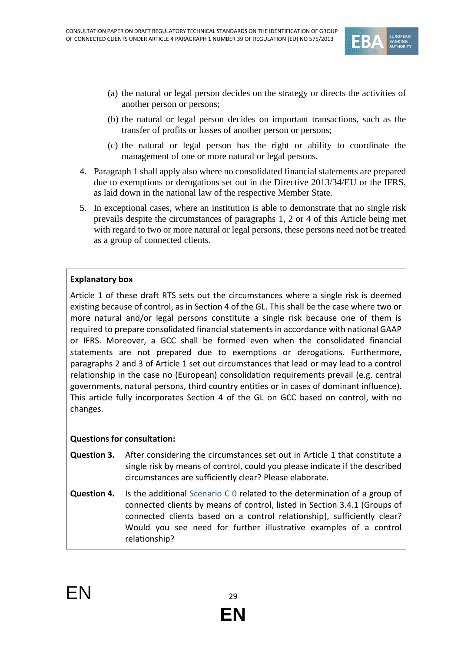

- (a) the natural or legal person decides on the strategy or directs the activities of another person or persons;
- (b) the natural or legal person decides on important transactions, such as the transfer of profits or losses of another person or persons;
- (c) the natural or legal person has the right or ability to coordinate the management of one or more natural or legal persons.
- 4. Paragraph 1 shall apply also where no consolidated financial statements are prepared due to exemptions or derogations set out in the Directive 2013/34/EU or the IFRS, as laid down in the national law of the respective Member State.
- 5. In exceptional cases, where an institution is able to demonstrate that no single risk prevails despite the circumstances of paragraphs 1, 2 or 4 of this Article being met with regard to two or more natural or legal persons, these persons need not be treated as a group of connected clients.

#### **Explanatory box**

Article 1 of these draft RTS sets out the circumstances where a single risk is deemed existing because of control, as in Section 4 of the GL. This shall be the case where two or more natural and/or legal persons constitute a single risk because one of them is required to prepare consolidated financial statements in accordance with national GAAP or IFRS. Moreover, a GCC shall be formed even when the consolidated financial statements are not prepared due to exemptions or derogations. Furthermore, paragraphs 2 and 3 of Article 1 set out circumstances that lead or may lead to a control relationship in the case no (European) consolidation requirements prevail (e.g. central governments, natural persons, third country entities or in cases of dominant influence). This article fully incorporates Section 4 of the GL on GCC based on control, with no changes.

#### **Questions for consultation:**

- **Question 3.** After considering the circumstances set out in Article 1 that constitute a single risk by means of control, could you please indicate if the described circumstances are sufficiently clear? Please elaborate.
- **Question 4.** Is the additional **Scenario CO** related to the determination of a group of connected clients by means of control, listed in Section 3.4.1 (Groups of connected clients based on a control relationship), sufficiently clear? Would you see need for further illustrative examples of a control relationship?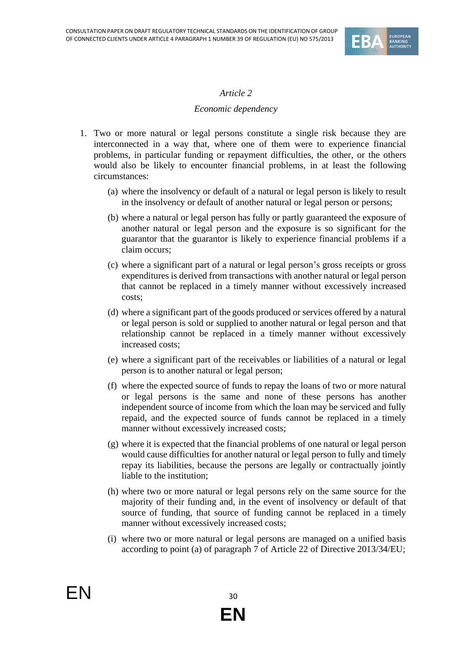

#### *Article 2*

#### *Economic dependency*

- 1. Two or more natural or legal persons constitute a single risk because they are interconnected in a way that, where one of them were to experience financial problems, in particular funding or repayment difficulties, the other, or the others would also be likely to encounter financial problems, in at least the following circumstances:
	- (a) where the insolvency or default of a natural or legal person is likely to result in the insolvency or default of another natural or legal person or persons;
	- (b) where a natural or legal person has fully or partly guaranteed the exposure of another natural or legal person and the exposure is so significant for the guarantor that the guarantor is likely to experience financial problems if a claim occurs;
	- (c) where a significant part of a natural or legal person's gross receipts or gross expenditures is derived from transactions with another natural or legal person that cannot be replaced in a timely manner without excessively increased costs;
	- (d) where a significant part of the goods produced or services offered by a natural or legal person is sold or supplied to another natural or legal person and that relationship cannot be replaced in a timely manner without excessively increased costs;
	- (e) where a significant part of the receivables or liabilities of a natural or legal person is to another natural or legal person;
	- (f) where the expected source of funds to repay the loans of two or more natural or legal persons is the same and none of these persons has another independent source of income from which the loan may be serviced and fully repaid, and the expected source of funds cannot be replaced in a timely manner without excessively increased costs;
	- (g) where it is expected that the financial problems of one natural or legal person would cause difficulties for another natural or legal person to fully and timely repay its liabilities, because the persons are legally or contractually jointly liable to the institution;
	- (h) where two or more natural or legal persons rely on the same source for the majority of their funding and, in the event of insolvency or default of that source of funding, that source of funding cannot be replaced in a timely manner without excessively increased costs;
	- (i) where two or more natural or legal persons are managed on a unified basis according to point (a) of paragraph 7 of Article 22 of Directive 2013/34/EU;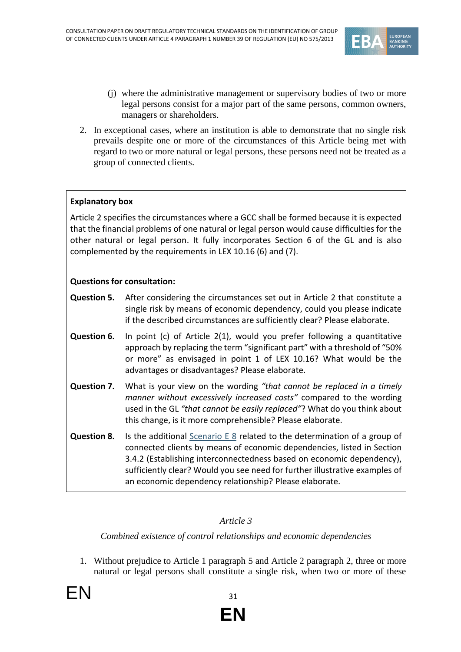

- (j) where the administrative management or supervisory bodies of two or more legal persons consist for a major part of the same persons, common owners, managers or shareholders.
- 2. In exceptional cases, where an institution is able to demonstrate that no single risk prevails despite one or more of the circumstances of this Article being met with regard to two or more natural or legal persons, these persons need not be treated as a group of connected clients.

#### **Explanatory box**

Article 2 specifies the circumstances where a GCC shall be formed because it is expected that the financial problems of one natural or legal person would cause difficulties for the other natural or legal person. It fully incorporates Section 6 of the GL and is also complemented by the requirements in LEX 10.16 (6) and (7).

#### **Questions for consultation:**

- **Question 5.** After considering the circumstances set out in Article 2 that constitute a single risk by means of economic dependency, could you please indicate if the described circumstances are sufficiently clear? Please elaborate.
- **Question 6.** In point (c) of Article 2(1), would you prefer following a quantitative approach by replacing the term "significant part" with a threshold of "50% or more" as envisaged in point 1 of LEX 10.16? What would be the advantages or disadvantages? Please elaborate.
- **Question 7.** What is your view on the wording *"that cannot be replaced in a timely manner without excessively increased costs"* compared to the wording used in the GL *"that cannot be easily replaced"*? What do you think about this change, is it more comprehensible? Please elaborate.
- **Question 8.** Is the additional [Scenario E 8](#page-20-0) related to the determination of a group of connected clients by means of economic dependencies, listed in Section 3.4.2 (Establishing interconnectedness based on economic dependency), sufficiently clear? Would you see need for further illustrative examples of an economic dependency relationship? Please elaborate.

#### *Article 3*

#### *Combined existence of control relationships and economic dependencies*

1. Without prejudice to Article 1 paragraph 5 and Article 2 paragraph 2, three or more natural or legal persons shall constitute a single risk, when two or more of these

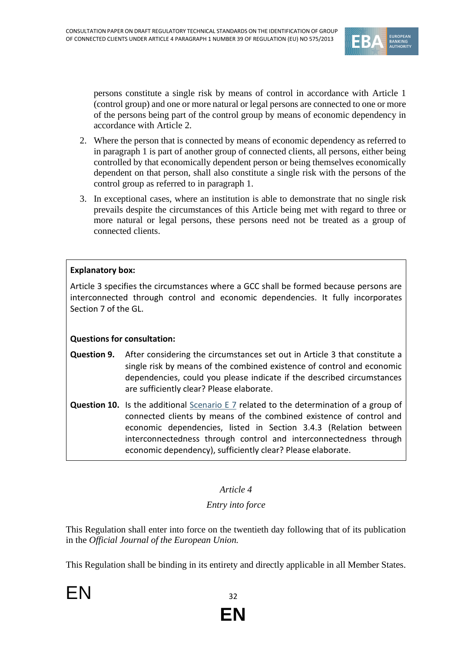

persons constitute a single risk by means of control in accordance with Article 1 (control group) and one or more natural or legal persons are connected to one or more of the persons being part of the control group by means of economic dependency in accordance with Article 2.

- 2. Where the person that is connected by means of economic dependency as referred to in paragraph 1 is part of another group of connected clients, all persons, either being controlled by that economically dependent person or being themselves economically dependent on that person, shall also constitute a single risk with the persons of the control group as referred to in paragraph 1.
- 3. In exceptional cases, where an institution is able to demonstrate that no single risk prevails despite the circumstances of this Article being met with regard to three or more natural or legal persons, these persons need not be treated as a group of connected clients.

#### **Explanatory box:**

Article 3 specifies the circumstances where a GCC shall be formed because persons are interconnected through control and economic dependencies. It fully incorporates Section 7 of the GL.

#### **Questions for consultation:**

- **Question 9.** After considering the circumstances set out in Article 3 that constitute a single risk by means of the combined existence of control and economic dependencies, could you please indicate if the described circumstances are sufficiently clear? Please elaborate.
- **Question 10.** Is the additional [Scenario E 7](#page-19-0) related to the determination of a group of connected clients by means of the combined existence of control and economic dependencies, listed in Section 3.4.3 (Relation between interconnectedness through control and interconnectedness through economic dependency), sufficiently clear? Please elaborate.

#### *Article 4*

#### *Entry into force*

This Regulation shall enter into force on the twentieth day following that of its publication in the *Official Journal of the European Union.*

This Regulation shall be binding in its entirety and directly applicable in all Member States.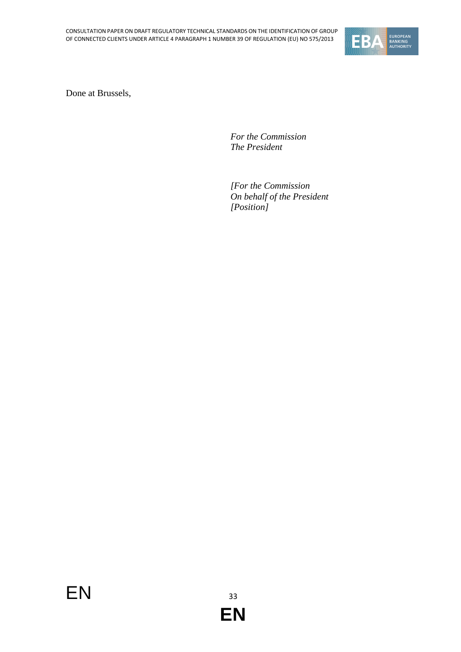

Done at Brussels,

*For the Commission The President*

*[For the Commission On behalf of the President [Position]*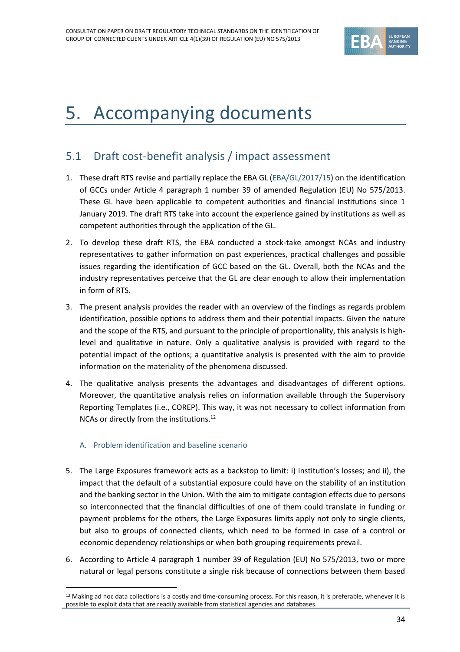

# <span id="page-33-0"></span>5. Accompanying documents

### <span id="page-33-1"></span>5.1 Draft cost-benefit analysis / impact assessment

- 1. These draft RTS revise and partially replace the EBA GL [\(EBA/GL/2017/15\)](https://www.eba.europa.eu/sites/default/documents/files/documents/10180/2025808/a77be1e9-7564-47d2-a9d1-b7da98220352/Final%20Guidelines%20on%20connected%20clients%20%28EBA-GL-2017-15%29.pdf?retry=1) on the identification of GCCs under Article 4 paragraph 1 number 39 of amended Regulation (EU) No 575/2013. These GL have been applicable to competent authorities and financial institutions since 1 January 2019. The draft RTS take into account the experience gained by institutions as well as competent authorities through the application of the GL.
- 2. To develop these draft RTS, the EBA conducted a stock-take amongst NCAs and industry representatives to gather information on past experiences, practical challenges and possible issues regarding the identification of GCC based on the GL. Overall, both the NCAs and the industry representatives perceive that the GL are clear enough to allow their implementation in form of RTS.
- 3. The present analysis provides the reader with an overview of the findings as regards problem identification, possible options to address them and their potential impacts. Given the nature and the scope of the RTS, and pursuant to the principle of proportionality, this analysis is highlevel and qualitative in nature. Only a qualitative analysis is provided with regard to the potential impact of the options; a quantitative analysis is presented with the aim to provide information on the materiality of the phenomena discussed.
- 4. The qualitative analysis presents the advantages and disadvantages of different options. Moreover, the quantitative analysis relies on information available through the Supervisory Reporting Templates (i.e., COREP). This way, it was not necessary to collect information from NCAs or directly from the institutions.<sup>12</sup>

#### A. Problem identification and baseline scenario

- 5. The Large Exposures framework acts as a backstop to limit: i) institution's losses; and ii), the impact that the default of a substantial exposure could have on the stability of an institution and the banking sector in the Union. With the aim to mitigate contagion effects due to persons so interconnected that the financial difficulties of one of them could translate in funding or payment problems for the others, the Large Exposures limits apply not only to single clients, but also to groups of connected clients, which need to be formed in case of a control or economic dependency relationships or when both grouping requirements prevail.
- 6. According to Article 4 paragraph 1 number 39 of Regulation (EU) No 575/2013, two or more natural or legal persons constitute a single risk because of connections between them based

<sup>&</sup>lt;sup>12</sup> Making ad hoc data collections is a costly and time-consuming process. For this reason, it is preferable, whenever it is possible to exploit data that are readily available from statistical agencies and databases.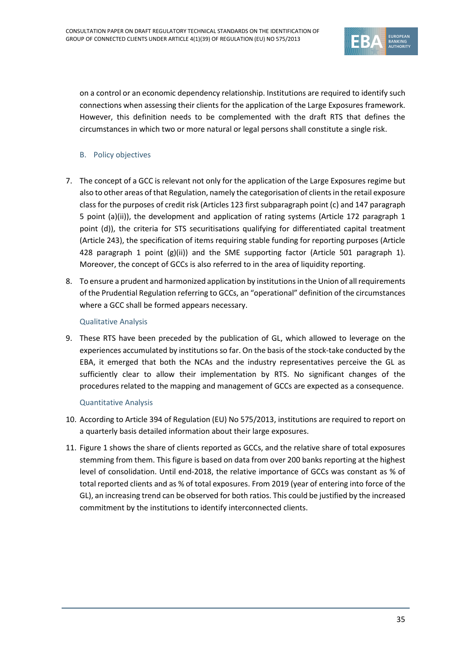

on a control or an economic dependency relationship. Institutions are required to identify such connections when assessing their clients for the application of the Large Exposures framework. However, this definition needs to be complemented with the draft RTS that defines the circumstances in which two or more natural or legal persons shall constitute a single risk.

#### B. Policy objectives

- 7. The concept of a GCC is relevant not only for the application of the Large Exposures regime but also to other areas of that Regulation, namely the categorisation of clients in the retail exposure class for the purposes of credit risk (Articles 123 first subparagraph point (c) and 147 paragraph 5 point (a)(ii)), the development and application of rating systems (Article 172 paragraph 1 point (d)), the criteria for STS securitisations qualifying for differentiated capital treatment (Article 243), the specification of items requiring stable funding for reporting purposes (Article 428 paragraph 1 point  $(g)(ii)$  and the SME supporting factor (Article 501 paragraph 1). Moreover, the concept of GCCs is also referred to in the area of liquidity reporting.
- 8. To ensure a prudent and harmonized application by institutions in the Union of all requirements of the Prudential Regulation referring to GCCs, an "operational" definition of the circumstances where a GCC shall be formed appears necessary.

#### Qualitative Analysis

9. These RTS have been preceded by the publication of GL, which allowed to leverage on the experiences accumulated by institutions so far. On the basis of the stock-take conducted by the EBA, it emerged that both the NCAs and the industry representatives perceive the GL as sufficiently clear to allow their implementation by RTS. No significant changes of the procedures related to the mapping and management of GCCs are expected as a consequence.

#### Quantitative Analysis

- 10. According to Article 394 of Regulation (EU) No 575/2013, institutions are required to report on a quarterly basis detailed information about their large exposures.
- 11. Figure 1 shows the share of clients reported as GCCs, and the relative share of total exposures stemming from them. This figure is based on data from over 200 banks reporting at the highest level of consolidation. Until end-2018, the relative importance of GCCs was constant as % of total reported clients and as % of total exposures. From 2019 (year of entering into force of the GL), an increasing trend can be observed for both ratios. This could be justified by the increased commitment by the institutions to identify interconnected clients.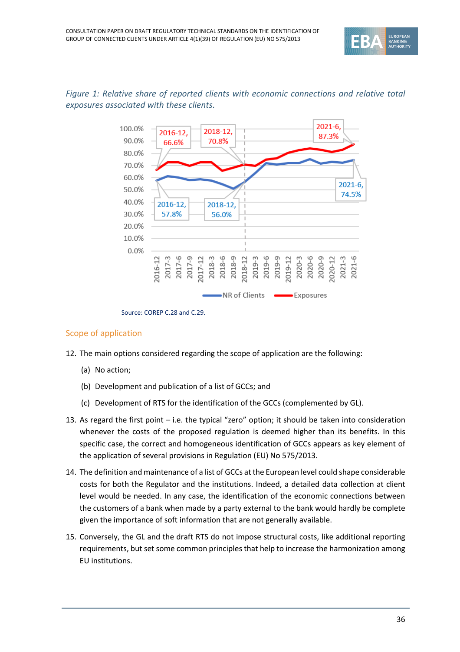



#### *Figure 1: Relative share of reported clients with economic connections and relative total exposures associated with these clients.*

Source: COREP C.28 and C.29.

#### Scope of application

- 12. The main options considered regarding the scope of application are the following:
	- (a) No action;
	- (b) Development and publication of a list of GCCs; and
	- (c) Development of RTS for the identification of the GCCs (complemented by GL).
- 13. As regard the first point i.e. the typical "zero" option; it should be taken into consideration whenever the costs of the proposed regulation is deemed higher than its benefits. In this specific case, the correct and homogeneous identification of GCCs appears as key element of the application of several provisions in Regulation (EU) No 575/2013.
- 14. The definition and maintenance of a list of GCCs at the European level could shape considerable costs for both the Regulator and the institutions. Indeed, a detailed data collection at client level would be needed. In any case, the identification of the economic connections between the customers of a bank when made by a party external to the bank would hardly be complete given the importance of soft information that are not generally available.
- 15. Conversely, the GL and the draft RTS do not impose structural costs, like additional reporting requirements, but set some common principles that help to increase the harmonization among EU institutions.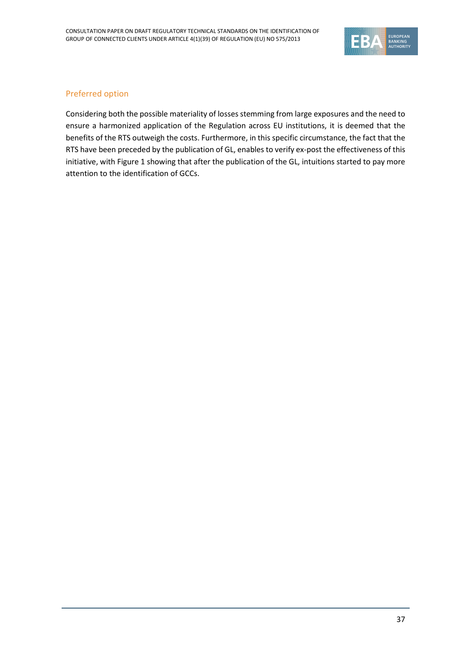

#### Preferred option

Considering both the possible materiality of losses stemming from large exposures and the need to ensure a harmonized application of the Regulation across EU institutions, it is deemed that the benefits of the RTS outweigh the costs. Furthermore, in this specific circumstance, the fact that the RTS have been preceded by the publication of GL, enables to verify ex-post the effectiveness of this initiative, with Figure 1 showing that after the publication of the GL, intuitions started to pay more attention to the identification of GCCs.